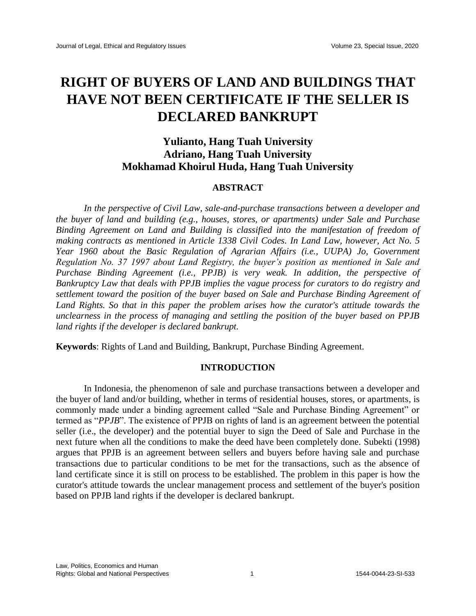# **RIGHT OF BUYERS OF LAND AND BUILDINGS THAT HAVE NOT BEEN CERTIFICATE IF THE SELLER IS DECLARED BANKRUPT**

# **Yulianto, Hang Tuah University Adriano, Hang Tuah University Mokhamad Khoirul Huda, Hang Tuah University**

# **ABSTRACT**

*In the perspective of Civil Law, sale-and-purchase transactions between a developer and the buyer of land and building (e.g., houses, stores, or apartments) under Sale and Purchase Binding Agreement on Land and Building is classified into the manifestation of freedom of making contracts as mentioned in Article 1338 Civil Codes. In Land Law, however, Act No. 5 Year 1960 about the Basic Regulation of Agrarian Affairs (i.e., UUPA) Jo, Government Regulation No. 37 1997 about Land Registry, the buyer's position as mentioned in Sale and Purchase Binding Agreement (i.e., PPJB) is very weak. In addition, the perspective of Bankruptcy Law that deals with PPJB implies the vague process for curators to do registry and settlement toward the position of the buyer based on Sale and Purchase Binding Agreement of Land Rights. So that in this paper the problem arises how the curator's attitude towards the unclearness in the process of managing and settling the position of the buyer based on PPJB land rights if the developer is declared bankrupt.*

**Keywords**: Rights of Land and Building, Bankrupt, Purchase Binding Agreement.

# **INTRODUCTION**

In Indonesia, the phenomenon of sale and purchase transactions between a developer and the buyer of land and/or building, whether in terms of residential houses, stores, or apartments, is commonly made under a binding agreement called "Sale and Purchase Binding Agreement" or termed as "*PPJB*". The existence of PPJB on rights of land is an agreement between the potential seller (i.e., the developer) and the potential buyer to sign the Deed of Sale and Purchase in the next future when all the conditions to make the deed have been completely done. Subekti (1998) argues that PPJB is an agreement between sellers and buyers before having sale and purchase transactions due to particular conditions to be met for the transactions, such as the absence of land certificate since it is still on process to be established. The problem in this paper is how the curator's attitude towards the unclear management process and settlement of the buyer's position based on PPJB land rights if the developer is declared bankrupt.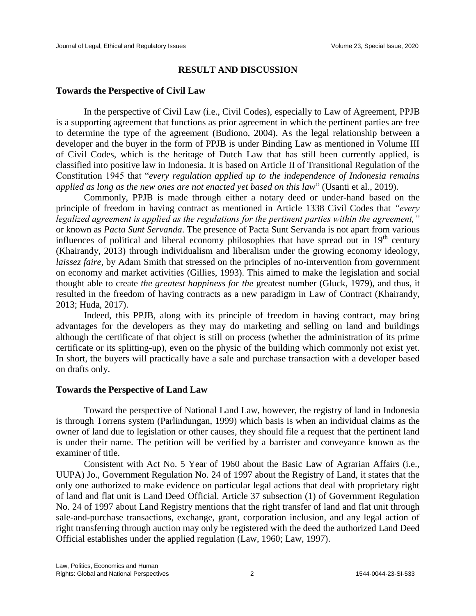#### **RESULT AND DISCUSSION**

#### **Towards the Perspective of Civil Law**

In the perspective of Civil Law (i.e., Civil Codes), especially to Law of Agreement, PPJB is a supporting agreement that functions as prior agreement in which the pertinent parties are free to determine the type of the agreement (Budiono, 2004). As the legal relationship between a developer and the buyer in the form of PPJB is under Binding Law as mentioned in Volume III of Civil Codes, which is the heritage of Dutch Law that has still been currently applied, is classified into positive law in Indonesia. It is based on Article II of Transitional Regulation of the Constitution 1945 that "*every regulation applied up to the independence of Indonesia remains applied as long as the new ones are not enacted yet based on this law*" (Usanti et al., 2019).

Commonly, PPJB is made through either a notary deed or under-hand based on the principle of freedom in having contract as mentioned in Article 1338 Civil Codes that *"every legalized agreement is applied as the regulations for the pertinent parties within the agreement,"* or known as *Pacta Sunt Servanda*. The presence of Pacta Sunt Servanda is not apart from various influences of political and liberal economy philosophies that have spread out in  $19<sup>th</sup>$  century (Khairandy, 2013) through individualism and liberalism under the growing economy ideology, *laissez faire*, by Adam Smith that stressed on the principles of no-intervention from government on economy and market activities (Gillies, 1993). This aimed to make the legislation and social thought able to create *the greatest happiness for the* greatest number (Gluck, 1979), and thus, it resulted in the freedom of having contracts as a new paradigm in Law of Contract (Khairandy, 2013; Huda, 2017).

Indeed, this PPJB, along with its principle of freedom in having contract, may bring advantages for the developers as they may do marketing and selling on land and buildings although the certificate of that object is still on process (whether the administration of its prime certificate or its splitting-up), even on the physic of the building which commonly not exist yet. In short, the buyers will practically have a sale and purchase transaction with a developer based on drafts only.

# **Towards the Perspective of Land Law**

Toward the perspective of National Land Law, however, the registry of land in Indonesia is through Torrens system (Parlindungan, 1999) which basis is when an individual claims as the owner of land due to legislation or other causes, they should file a request that the pertinent land is under their name. The petition will be verified by a barrister and conveyance known as the examiner of title.

Consistent with Act No. 5 Year of 1960 about the Basic Law of Agrarian Affairs (i.e., UUPA) Jo., Government Regulation No. 24 of 1997 about the Registry of Land, it states that the only one authorized to make evidence on particular legal actions that deal with proprietary right of land and flat unit is Land Deed Official. Article 37 subsection (1) of Government Regulation No. 24 of 1997 about Land Registry mentions that the right transfer of land and flat unit through sale-and-purchase transactions, exchange, grant, corporation inclusion, and any legal action of right transferring through auction may only be registered with the deed the authorized Land Deed Official establishes under the applied regulation (Law, 1960; Law, 1997).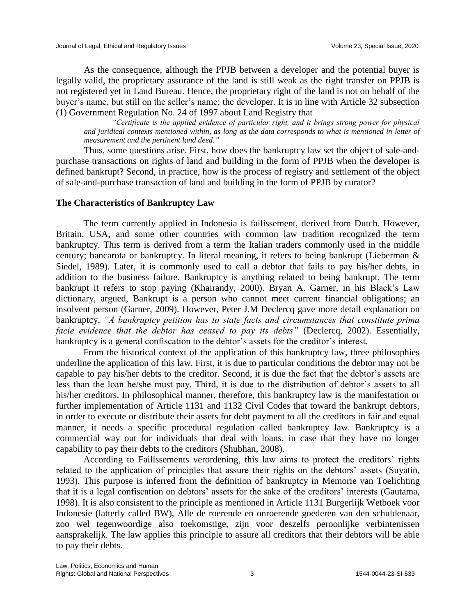As the consequence, although the PPJB between a developer and the potential buyer is legally valid, the proprietary assurance of the land is still weak as the right transfer on PPJB is not registered yet in Land Bureau. Hence, the proprietary right of the land is not on behalf of the buyer's name, but still on the seller's name; the developer. It is in line with Article 32 subsection (1) Government Regulation No. 24 of 1997 about Land Registry that

*"Certificate is the applied evidence of particular right, and it brings strong power for physical and juridical contexts mentioned within, as long as the data corresponds to what is mentioned in letter of measurement and the pertinent land deed."*

Thus, some questions arise. First, how does the bankruptcy law set the object of sale-andpurchase transactions on rights of land and building in the form of PPJB when the developer is defined bankrupt? Second, in practice, how is the process of registry and settlement of the object of sale-and-purchase transaction of land and building in the form of PPJB by curator?

# **The Characteristics of Bankruptcy Law**

The term currently applied in Indonesia is failissement, derived from Dutch. However, Britain, USA, and some other countries with common law tradition recognized the term bankruptcy. This term is derived from a term the Italian traders commonly used in the middle century; bancarota or bankruptcy. In literal meaning, it refers to being bankrupt (Lieberman & Siedel, 1989). Later, it is commonly used to call a debtor that fails to pay his/her debts, in addition to the business failure. Bankruptcy is anything related to being bankrupt. The term bankrupt it refers to stop paying (Khairandy, 2000). Bryan A. Garner, in his Black's Law dictionary, argued, Bankrupt is a person who cannot meet current financial obligations; an insolvent person (Garner, 2009). However, Peter J.M Declercq gave more detail explanation on bankruptcy, *"A bankruptcy petition has to state facts and circumstances that constitute prima facie evidence that the debtor has ceased to pay its debts"* (Declercq, 2002). Essentially, bankruptcy is a general confiscation to the debtor's assets for the creditor's interest.

From the historical context of the application of this bankruptcy law, three philosophies underline the application of this law. First, it is due to particular conditions the debtor may not be capable to pay his/her debts to the creditor. Second, it is due the fact that the debtor's assets are less than the loan he/she must pay. Third, it is due to the distribution of debtor's assets to all his/her creditors. In philosophical manner, therefore, this bankruptcy law is the manifestation or further implementation of Article 1131 and 1132 Civil Codes that toward the bankrupt debtors, in order to execute or distribute their assets for debt payment to all the creditors in fair and equal manner, it needs a specific procedural regulation called bankruptcy law. Bankruptcy is a commercial way out for individuals that deal with loans, in case that they have no longer capability to pay their debts to the creditors (Shubhan, 2008).

According to Faillssements verordening, this law aims to protect the creditors' rights related to the application of principles that assure their rights on the debtors' assets (Suyatin, 1993). This purpose is inferred from the definition of bankruptcy in Memorie van Toelichting that it is a legal confiscation on debtors' assets for the sake of the creditors' interests (Gautama, 1998). It is also consistent to the principle as mentioned in Article 1131 Burgerlijk Wetboek voor Indonesie (latterly called BW), Alle de roerende en onroerende goederen van den schuldenaar, zoo wel tegenwoordige also toekomstige, zijn voor deszelfs peroonlijke verbintenissen aansprakelijk. The law applies this principle to assure all creditors that their debtors will be able to pay their debts.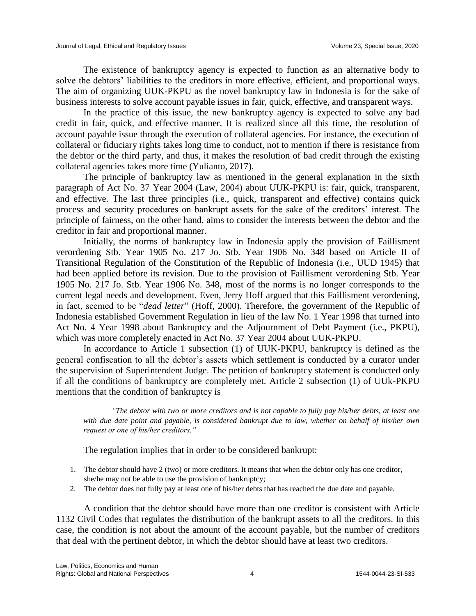The existence of bankruptcy agency is expected to function as an alternative body to solve the debtors' liabilities to the creditors in more effective, efficient, and proportional ways. The aim of organizing UUK-PKPU as the novel bankruptcy law in Indonesia is for the sake of business interests to solve account payable issues in fair, quick, effective, and transparent ways.

In the practice of this issue, the new bankruptcy agency is expected to solve any bad credit in fair, quick, and effective manner. It is realized since all this time, the resolution of account payable issue through the execution of collateral agencies. For instance, the execution of collateral or fiduciary rights takes long time to conduct, not to mention if there is resistance from the debtor or the third party, and thus, it makes the resolution of bad credit through the existing collateral agencies takes more time (Yulianto, 2017).

The principle of bankruptcy law as mentioned in the general explanation in the sixth paragraph of Act No. 37 Year 2004 (Law, 2004) about UUK-PKPU is: fair, quick, transparent, and effective. The last three principles (i.e., quick, transparent and effective) contains quick process and security procedures on bankrupt assets for the sake of the creditors' interest. The principle of fairness, on the other hand, aims to consider the interests between the debtor and the creditor in fair and proportional manner.

Initially, the norms of bankruptcy law in Indonesia apply the provision of Faillisment verordening Stb. Year 1905 No. 217 Jo. Stb. Year 1906 No. 348 based on Article II of Transitional Regulation of the Constitution of the Republic of Indonesia (i.e., UUD 1945) that had been applied before its revision. Due to the provision of Faillisment verordening Stb. Year 1905 No. 217 Jo. Stb. Year 1906 No. 348, most of the norms is no longer corresponds to the current legal needs and development. Even, Jerry Hoff argued that this Faillisment verordening, in fact, seemed to be "*dead letter*" (Hoff, 2000). Therefore, the government of the Republic of Indonesia established Government Regulation in lieu of the law No. 1 Year 1998 that turned into Act No. 4 Year 1998 about Bankruptcy and the Adjournment of Debt Payment (i.e., PKPU), which was more completely enacted in Act No. 37 Year 2004 about UUK-PKPU.

In accordance to Article 1 subsection (1) of UUK-PKPU, bankruptcy is defined as the general confiscation to all the debtor's assets which settlement is conducted by a curator under the supervision of Superintendent Judge. The petition of bankruptcy statement is conducted only if all the conditions of bankruptcy are completely met. Article 2 subsection (1) of UUk-PKPU mentions that the condition of bankruptcy is

*"The debtor with two or more creditors and is not capable to fully pay his/her debts, at least one with due date point and payable, is considered bankrupt due to law, whether on behalf of his/her own request or one of his/her creditors."*

The regulation implies that in order to be considered bankrupt:

- 1. The debtor should have 2 (two) or more creditors. It means that when the debtor only has one creditor, she/he may not be able to use the provision of bankruptcy;
- 2. The debtor does not fully pay at least one of his/her debts that has reached the due date and payable.

A condition that the debtor should have more than one creditor is consistent with Article 1132 Civil Codes that regulates the distribution of the bankrupt assets to all the creditors. In this case, the condition is not about the amount of the account payable, but the number of creditors that deal with the pertinent debtor, in which the debtor should have at least two creditors.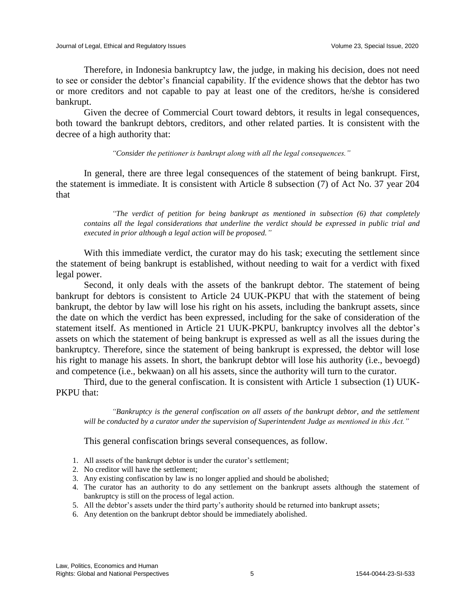Therefore, in Indonesia bankruptcy law, the judge, in making his decision, does not need to see or consider the debtor's financial capability. If the evidence shows that the debtor has two or more creditors and not capable to pay at least one of the creditors, he/she is considered bankrupt.

Given the decree of Commercial Court toward debtors, it results in legal consequences, both toward the bankrupt debtors, creditors, and other related parties. It is consistent with the decree of a high authority that:

#### *"Consider the petitioner is bankrupt along with all the legal consequences."*

In general, there are three legal consequences of the statement of being bankrupt. First, the statement is immediate. It is consistent with Article 8 subsection (7) of Act No. 37 year 204 that

*"The verdict of petition for being bankrupt as mentioned in subsection (6) that completely contains all the legal considerations that underline the verdict should be expressed in public trial and executed in prior although a legal action will be proposed."*

With this immediate verdict, the curator may do his task; executing the settlement since the statement of being bankrupt is established, without needing to wait for a verdict with fixed legal power.

Second, it only deals with the assets of the bankrupt debtor. The statement of being bankrupt for debtors is consistent to Article 24 UUK-PKPU that with the statement of being bankrupt, the debtor by law will lose his right on his assets, including the bankrupt assets, since the date on which the verdict has been expressed, including for the sake of consideration of the statement itself. As mentioned in Article 21 UUK-PKPU, bankruptcy involves all the debtor's assets on which the statement of being bankrupt is expressed as well as all the issues during the bankruptcy. Therefore, since the statement of being bankrupt is expressed, the debtor will lose his right to manage his assets. In short, the bankrupt debtor will lose his authority (i.e., bevoegd) and competence (i.e., bekwaan) on all his assets, since the authority will turn to the curator.

Third, due to the general confiscation. It is consistent with Article 1 subsection (1) UUK-PKPU that:

*"Bankruptcy is the general confiscation on all assets of the bankrupt debtor, and the settlement will be conducted by a curator under the supervision of Superintendent Judge as mentioned in this Act."* 

This general confiscation brings several consequences, as follow.

- 1. All assets of the bankrupt debtor is under the curator's settlement;
- 2. No creditor will have the settlement;
- 3. Any existing confiscation by law is no longer applied and should be abolished;
- 4. The curator has an authority to do any settlement on the bankrupt assets although the statement of bankruptcy is still on the process of legal action.
- 5. All the debtor's assets under the third party's authority should be returned into bankrupt assets;
- 6. Any detention on the bankrupt debtor should be immediately abolished.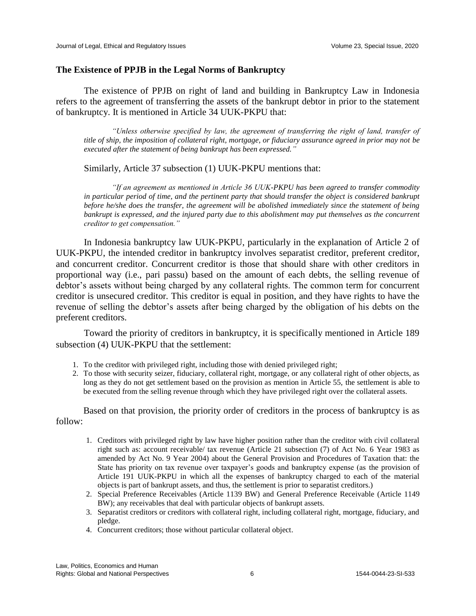### **The Existence of PPJB in the Legal Norms of Bankruptcy**

The existence of PPJB on right of land and building in Bankruptcy Law in Indonesia refers to the agreement of transferring the assets of the bankrupt debtor in prior to the statement of bankruptcy. It is mentioned in Article 34 UUK-PKPU that:

*"Unless otherwise specified by law, the agreement of transferring the right of land, transfer of title of ship, the imposition of collateral right, mortgage, or fiduciary assurance agreed in prior may not be executed after the statement of being bankrupt has been expressed."*

Similarly, Article 37 subsection (1) UUK-PKPU mentions that:

*"If an agreement as mentioned in Article 36 UUK-PKPU has been agreed to transfer commodity in particular period of time, and the pertinent party that should transfer the object is considered bankrupt before he/she does the transfer, the agreement will be abolished immediately since the statement of being bankrupt is expressed, and the injured party due to this abolishment may put themselves as the concurrent creditor to get compensation."*

In Indonesia bankruptcy law UUK-PKPU, particularly in the explanation of Article 2 of UUK-PKPU, the intended creditor in bankruptcy involves separatist creditor, preferent creditor, and concurrent creditor. Concurrent creditor is those that should share with other creditors in proportional way (i.e., pari passu) based on the amount of each debts, the selling revenue of debtor's assets without being charged by any collateral rights. The common term for concurrent creditor is unsecured creditor*.* This creditor is equal in position, and they have rights to have the revenue of selling the debtor's assets after being charged by the obligation of his debts on the preferent creditors.

Toward the priority of creditors in bankruptcy, it is specifically mentioned in Article 189 subsection (4) UUK-PKPU that the settlement:

- 1. To the creditor with privileged right, including those with denied privileged right;
- 2. To those with security seizer, fiduciary, collateral right, mortgage, or any collateral right of other objects, as long as they do not get settlement based on the provision as mention in Article 55, the settlement is able to be executed from the selling revenue through which they have privileged right over the collateral assets.

Based on that provision, the priority order of creditors in the process of bankruptcy is as follow:

- 1. Creditors with privileged right by law have higher position rather than the creditor with civil collateral right such as: account receivable/ tax revenue (Article 21 subsection (7) of Act No. 6 Year 1983 as amended by Act No. 9 Year 2004) about the General Provision and Procedures of Taxation that: the State has priority on tax revenue over taxpayer's goods and bankruptcy expense (as the provision of Article 191 UUK-PKPU in which all the expenses of bankruptcy charged to each of the material objects is part of bankrupt assets, and thus, the settlement is prior to separatist creditors.)
- 2. Special Preference Receivables (Article 1139 BW) and General Preference Receivable (Article 1149 BW); any receivables that deal with particular objects of bankrupt assets.
- 3. Separatist creditors or creditors with collateral right, including collateral right, mortgage, fiduciary, and pledge.
- 4. Concurrent creditors; those without particular collateral object.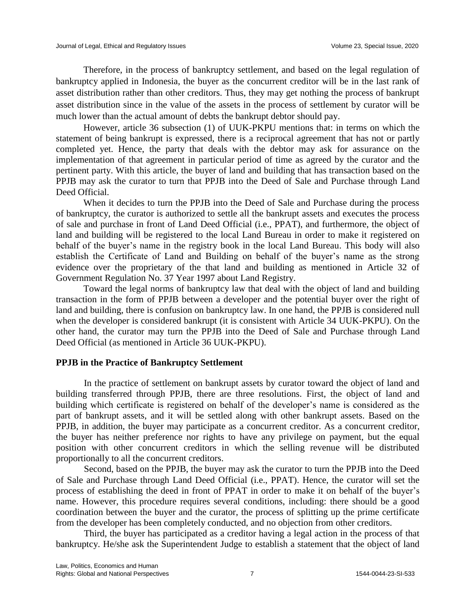Therefore, in the process of bankruptcy settlement, and based on the legal regulation of bankruptcy applied in Indonesia, the buyer as the concurrent creditor will be in the last rank of asset distribution rather than other creditors. Thus, they may get nothing the process of bankrupt asset distribution since in the value of the assets in the process of settlement by curator will be much lower than the actual amount of debts the bankrupt debtor should pay.

However, article 36 subsection (1) of UUK-PKPU mentions that: in terms on which the statement of being bankrupt is expressed, there is a reciprocal agreement that has not or partly completed yet. Hence, the party that deals with the debtor may ask for assurance on the implementation of that agreement in particular period of time as agreed by the curator and the pertinent party. With this article, the buyer of land and building that has transaction based on the PPJB may ask the curator to turn that PPJB into the Deed of Sale and Purchase through Land Deed Official.

When it decides to turn the PPJB into the Deed of Sale and Purchase during the process of bankruptcy, the curator is authorized to settle all the bankrupt assets and executes the process of sale and purchase in front of Land Deed Official (i.e., PPAT), and furthermore, the object of land and building will be registered to the local Land Bureau in order to make it registered on behalf of the buyer's name in the registry book in the local Land Bureau. This body will also establish the Certificate of Land and Building on behalf of the buyer's name as the strong evidence over the proprietary of the that land and building as mentioned in Article 32 of Government Regulation No. 37 Year 1997 about Land Registry.

Toward the legal norms of bankruptcy law that deal with the object of land and building transaction in the form of PPJB between a developer and the potential buyer over the right of land and building, there is confusion on bankruptcy law. In one hand, the PPJB is considered null when the developer is considered bankrupt (it is consistent with Article 34 UUK-PKPU). On the other hand, the curator may turn the PPJB into the Deed of Sale and Purchase through Land Deed Official (as mentioned in Article 36 UUK-PKPU).

# **PPJB in the Practice of Bankruptcy Settlement**

In the practice of settlement on bankrupt assets by curator toward the object of land and building transferred through PPJB, there are three resolutions. First, the object of land and building which certificate is registered on behalf of the developer's name is considered as the part of bankrupt assets, and it will be settled along with other bankrupt assets. Based on the PPJB, in addition, the buyer may participate as a concurrent creditor. As a concurrent creditor, the buyer has neither preference nor rights to have any privilege on payment, but the equal position with other concurrent creditors in which the selling revenue will be distributed proportionally to all the concurrent creditors.

Second, based on the PPJB, the buyer may ask the curator to turn the PPJB into the Deed of Sale and Purchase through Land Deed Official (i.e., PPAT). Hence, the curator will set the process of establishing the deed in front of PPAT in order to make it on behalf of the buyer's name. However, this procedure requires several conditions, including: there should be a good coordination between the buyer and the curator, the process of splitting up the prime certificate from the developer has been completely conducted, and no objection from other creditors.

Third, the buyer has participated as a creditor having a legal action in the process of that bankruptcy. He/she ask the Superintendent Judge to establish a statement that the object of land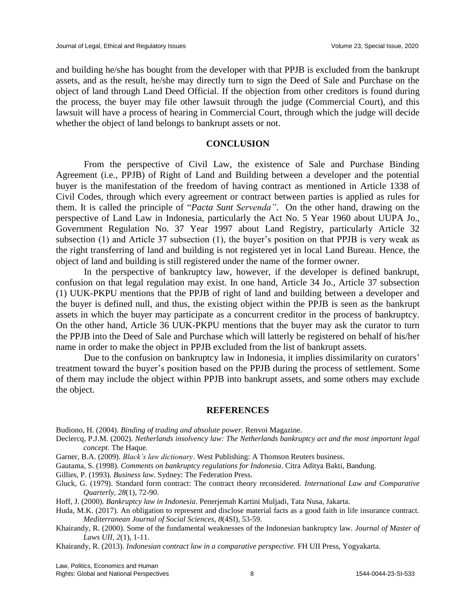and building he/she has bought from the developer with that PPJB is excluded from the bankrupt assets, and as the result, he/she may directly turn to sign the Deed of Sale and Purchase on the object of land through Land Deed Official. If the objection from other creditors is found during the process, the buyer may file other lawsuit through the judge (Commercial Court), and this lawsuit will have a process of hearing in Commercial Court, through which the judge will decide whether the object of land belongs to bankrupt assets or not.

#### **CONCLUSION**

From the perspective of Civil Law, the existence of Sale and Purchase Binding Agreement (i.e., PPJB) of Right of Land and Building between a developer and the potential buyer is the manifestation of the freedom of having contract as mentioned in Article 1338 of Civil Codes, through which every agreement or contract between parties is applied as rules for them. It is called the principle of "*Pacta Sunt Servenda"*. On the other hand, drawing on the perspective of Land Law in Indonesia, particularly the Act No. 5 Year 1960 about UUPA Jo., Government Regulation No. 37 Year 1997 about Land Registry, particularly Article 32 subsection (1) and Article 37 subsection (1), the buyer's position on that PPJB is very weak as the right transferring of land and building is not registered yet in local Land Bureau. Hence, the object of land and building is still registered under the name of the former owner.

In the perspective of bankruptcy law, however, if the developer is defined bankrupt, confusion on that legal regulation may exist. In one hand, Article 34 Jo., Article 37 subsection (1) UUK-PKPU mentions that the PPJB of right of land and building between a developer and the buyer is defined null, and thus, the existing object within the PPJB is seen as the bankrupt assets in which the buyer may participate as a concurrent creditor in the process of bankruptcy. On the other hand, Article 36 UUK-PKPU mentions that the buyer may ask the curator to turn the PPJB into the Deed of Sale and Purchase which will latterly be registered on behalf of his/her name in order to make the object in PPJB excluded from the list of bankrupt assets.

Due to the confusion on bankruptcy law in Indonesia, it implies dissimilarity on curators' treatment toward the buyer's position based on the PPJB during the process of settlement. Some of them may include the object within PPJB into bankrupt assets, and some others may exclude the object.

#### **REFERENCES**

Budiono, H. (2004). *Binding of trading and absolute power.* Renvoi Magazine.

- Declercq, P.J.M. (2002). *Netherlands insolvency law: The Netherlands bankruptcy act and the most important legal concept.* The Haque.
- Garner, B.A. (2009). *Black's law dictionary*. West Publishing: A Thomson Reuters business.
- Gautama, S. (1998). *Comments on bankruptcy regulations for Indonesia*. Citra Aditya Bakti, Bandung.
- Gillies, P. (1993). *Business law*. Sydney: The Federation Press.
- Gluck, G. (1979). Standard form contract: The contract theory reconsidered. *International Law and Comparative Quarterly*, *28*(1), 72-90.
- Hoff, J. (2000). *Bankruptcy law in Indonesia*. Penerjemah Kartini Muljadi, Tata Nusa, Jakarta.
- Huda, M.K. (2017). An obligation to represent and disclose material facts as a good faith in life insurance contract. *Mediterranean Journal of Social Sciences, 8*(4SI), 53-59.
- Khairandy, R. (2000). Some of the fundamental weaknesses of the Indonesian bankruptcy law. *Journal of Master of Laws UII, 2*(1), 1-11.
- Khairandy, R. (2013). *Indonesian contract law in a comparative perspective.* FH UII Press, Yogyakarta.

Law, Politics, Economics and Human Rights: Global and National Perspectives 1544-0044-23-SI-533